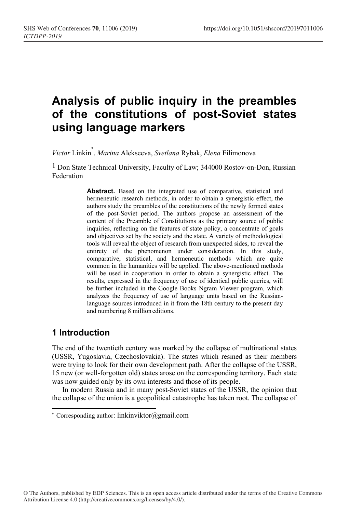# **Analysis of public inquiry in the preambles of the constitutions of post-Soviet states using language markers**

*Victor* Linkin\* , *Marina* Alekseeva, *Svetlana* Rybak, *Elena* Filimonova

<sup>1</sup> Don State Technical University, Faculty of Law; 344000 Rostov-on-Don, Russian Federation

> **Abstract.** Based on the integrated use of comparative, statistical and hermeneutic research methods, in order to obtain a synergistic effect, the authors study the preambles of the constitutions of the newly formed states of the post-Soviet period. The authors propose an assessment of the content of the Preamble of Constitutions as the primary source of public inquiries, reflecting on the features of state policy, a concentrate of goals and objectives set by the society and the state. A variety of methodological tools will reveal the object of research from unexpected sides, to reveal the entirety of the phenomenon under consideration. In this study, comparative, statistical, and hermeneutic methods which are quite common in the humanities will be applied. The above-mentioned methods will be used in cooperation in order to obtain a synergistic effect. The results, expressed in the frequency of use of identical public queries, will be further included in the Google Books Ngram Viewer program, which analyzes the frequency of use of language units based on the Russianlanguage sources introduced in it from the 18th century to the present day and numbering 8 million editions.

## **1 Introduction**

The end of the twentieth century was marked by the collapse of multinational states (USSR, Yugoslavia, Czechoslovakia). The states which resined as their members were trying to look for their own development path. After the collapse of the USSR, 15 new (or well-forgotten old) states arose on the corresponding territory. Each state was now guided only by its own interests and those of its people.

In modern Russia and in many post-Soviet states of the USSR, the opinion that the collapse of the union is a geopolitical catastrophe has taken root. The collapse of

<sup>\*</sup> Corresponding author: [linkinviktor@gmail.com](https://e.mail.ru/compose?To=linkinviktor%40gmail.com)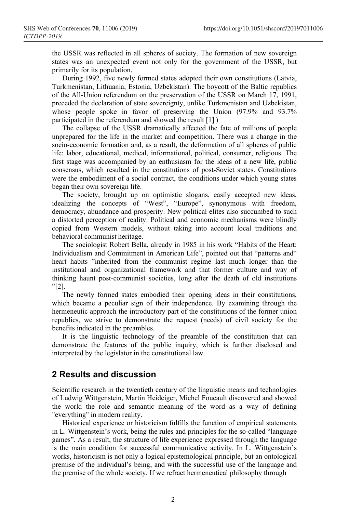the USSR was reflected in all spheres of society. The formation of new sovereign states was an unexpected event not only for the government of the USSR, but primarily for its population.

During 1992, five newly formed states adopted their own constitutions (Latvia, Turkmenistan, Lithuania, Estonia, Uzbekistan). The boycott of the Baltic republics of the All-Union referendum on the preservation of the USSR on March 17, 1991, preceded the declaration of state sovereignty, unlike Turkmenistan and Uzbekistan, whose people spoke in favor of preserving the Union (97.9% and 93.7% participated in the referendum and showed the result [1] )

The collapse of the USSR dramatically affected the fate of millions of people unprepared for the life in the market and competition. There was a change in the socio-economic formation and, as a result, the deformation of all spheres of public life: labor, educational, medical, informational, political, consumer, religious. The first stage was accompanied by an enthusiasm for the ideas of a new life, public consensus, which resulted in the constitutions of post-Soviet states. Constitutions were the embodiment of a social contract, the conditions under which young states began their own sovereign life.

The society, brought up on optimistic slogans, easily accepted new ideas, idealizing the concepts of "West", "Europe", synonymous with freedom, democracy, abundance and prosperity. New political elites also succumbed to such a distorted perception of reality. Political and economic mechanisms were blindly copied from Western models, without taking into account local traditions and behavioral communist heritage.

The sociologist Robert Bella, already in 1985 in his work "Habits of the Heart: Individualism and Commitment in American Life", pointed out that "patterns and" heart habits "inherited from the communist regime last much longer than the institutional and organizational framework and that former culture and way of thinking haunt post-communist societies, long after the death of old institutions "[2].

The newly formed states embodied their opening ideas in their constitutions, which became a peculiar sign of their independence. By examining through the hermeneutic approach the introductory part of the constitutions of the former union republics, we strive to demonstrate the request (needs) of civil society for the benefits indicated in the preambles.

It is the linguistic technology of the preamble of the constitution that can demonstrate the features of the public inquiry, which is further disclosed and interpreted by the legislator in the constitutional law.

## **2 Results and discussion**

Scientific research in the twentieth century of the linguistic means and technologies of Ludwig Wittgenstein, Martin Heideiger, Michel Foucault discovered and showed the world the role and semantic meaning of the word as a way of defining "everything" in modern reality.

Historical experience or historicism fulfills the function of empirical statements in L. Wittgenstein's work, being the rules and principles for the so-called "language games". As a result, the structure of life experience expressed through the language is the main condition for successful communicative activity. In L. Wittgenstein's works, historicism is not only a logical epistemological principle, but an ontological premise of the individual's being, and with the successful use of the language and the premise of the whole society. If we refract hermeneutical philosophy through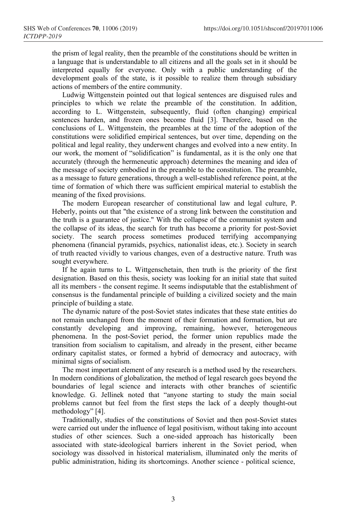the prism of legal reality, then the preamble of the constitutions should be written in a language that is understandable to all citizens and all the goals set in it should be interpreted equally for everyone. Only with a public understanding of the development goals of the state, is it possible to realize them through subsidiary actions of members of the entire community.

Ludwig Wittgenstein pointed out that logical sentences are disguised rules and principles to which we relate the preamble of the constitution. In addition, according to L. Wittgenstein, subsequently, fluid (often changing) empirical sentences harden, and frozen ones become fluid [3]. Therefore, based on the conclusions of L. Wittgenstein, the preambles at the time of the adoption of the constitutions were solidified empirical sentences, but over time, depending on the political and legal reality, they underwent changes and evolved into a new entity. In our work, the moment of "solidification" is fundamental, as it is the only one that accurately (through the hermeneutic approach) determines the meaning and idea of the message of society embodied in the preamble to the constitution. The preamble, as a message to future generations, through a well-established reference point, at the time of formation of which there was sufficient empirical material to establish the meaning of the fixed provisions.

The modern European researcher of constitutional law and legal culture, P. Heberly, points out that "the existence of a strong link between the constitution and the truth is a guarantee of justice." With the collapse of the communist system and the collapse of its ideas, the search for truth has become a priority for post-Soviet society. The search process sometimes produced terrifying accompanying phenomena (financial pyramids, psychics, nationalist ideas, etc.). Society in search of truth reacted vividly to various changes, even of a destructive nature. Truth was sought everywhere.

If he again turns to L. Wittgenschetain, then truth is the priority of the first designation. Based on this thesis, society was looking for an initial state that suited all its members - the consent regime. It seems indisputable that the establishment of consensus is the fundamental principle of building a civilized society and the main principle of building a state.

The dynamic nature of the post-Soviet states indicates that these state entities do not remain unchanged from the moment of their formation and formation, but are constantly developing and improving, remaining, however, heterogeneous phenomena. In the post-Soviet period, the former union republics made the transition from socialism to capitalism, and already in the present, either became ordinary capitalist states, or formed a hybrid of democracy and autocracy, with minimal signs of socialism.

The most important element of any research is a method used by the researchers. In modern conditions of globalization, the method of legal research goes beyond the boundaries of legal science and interacts with other branches of scientific knowledge. G. Jellinek noted that "anyone starting to study the main social problems cannot but feel from the first steps the lack of a deeply thought-out methodology" [4].

Traditionally, studies of the constitutions of Soviet and then post-Soviet states were carried out under the influence of legal positivism, without taking into account studies of other sciences. Such a one-sided approach has historically been associated with state-ideological barriers inherent in the Soviet period, when sociology was dissolved in historical materialism, illuminated only the merits of public administration, hiding its shortcomings. Another science - political science,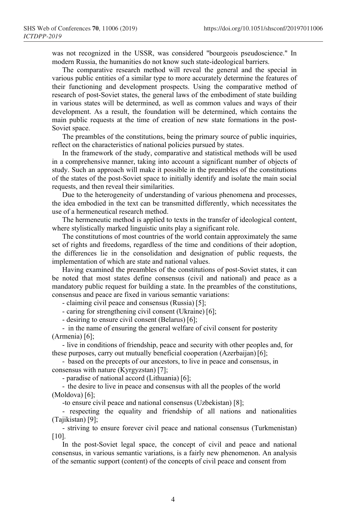was not recognized in the USSR, was considered "bourgeois pseudoscience." In modern Russia, the humanities do not know such state-ideological barriers.

The comparative research method will reveal the general and the special in various public entities of a similar type to more accurately determine the features of their functioning and development prospects. Using the comparative method of research of post-Soviet states, the general laws of the embodiment of state building in various states will be determined, as well as common values and ways of their development. As a result, the foundation will be determined, which contains the main public requests at the time of creation of new state formations in the post-Soviet space.

The preambles of the constitutions, being the primary source of public inquiries, reflect on the characteristics of national policies pursued by states.

In the framework of the study, comparative and statistical methods will be used in a comprehensive manner, taking into account a significant number of objects of study. Such an approach will make it possible in the preambles of the constitutions of the states of the post-Soviet space to initially identify and isolate the main social requests, and then reveal their similarities.

Due to the heterogeneity of understanding of various phenomena and processes, the idea embodied in the text can be transmitted differently, which necessitates the use of a hermeneutical research method.

The hermeneutic method is applied to texts in the transfer of ideological content, where stylistically marked linguistic units play a significant role.

The constitutions of most countries of the world contain approximately the same set of rights and freedoms, regardless of the time and conditions of their adoption, the differences lie in the consolidation and designation of public requests, the implementation of which are state and national values.

Having examined the preambles of the constitutions of post-Soviet states, it can be noted that most states define consensus (civil and national) and peace as a mandatory public request for building a state. In the preambles of the constitutions, consensus and peace are fixed in various semantic variations:

- claiming civil peace and consensus (Russia) [5];

- caring for strengthening civil consent (Ukraine) [6];

- desiring to ensure civil consent (Belarus) [6];

- in the name of ensuring the general welfare of civil consent for posterity (Armenia) [6];

- live in conditions of friendship, peace and security with other peoples and, for these purposes, carry out mutually beneficial cooperation (Azerbaijan)[6];

- based on the precepts of our ancestors, to live in peace and consensus, in consensus with nature (Kyrgyzstan) [7];

- paradise of national accord (Lithuania) [6];

- the desire to live in peace and consensus with all the peoples of the world (Moldova) [6];

-to ensure civil peace and national consensus (Uzbekistan) [8];

- respecting the equality and friendship of all nations and nationalities (Tajikistan) [9];

- striving to ensure forever civil peace and national consensus (Turkmenistan) [10].

In the post-Soviet legal space, the concept of civil and peace and national consensus, in various semantic variations, is a fairly new phenomenon. An analysis of the semantic support (content) of the concepts of civil peace and consent from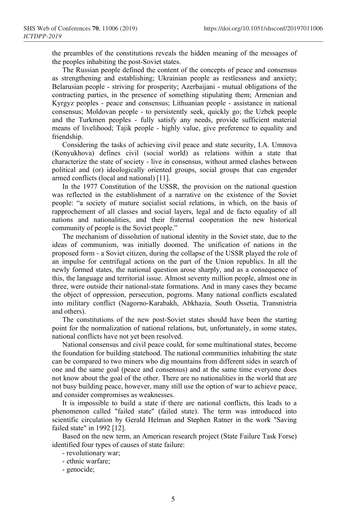the preambles of the constitutions reveals the hidden meaning of the messages of the peoples inhabiting the post-Soviet states.

The Russian people defined the content of the concepts of peace and consensus as strengthening and establishing; Ukrainian people as restlessness and anxiety; Belarusian people - striving for prosperity; Azerbaijani - mutual obligations of the contracting parties, in the presence of something stipulating them; Armenian and Kyrgyz peoples - peace and consensus; Lithuanian people - assistance in national consensus; Moldovan people - to persistently seek, quickly go; the Uzbek people and the Turkmen peoples - fully satisfy any needs, provide sufficient material means of livelihood; Tajik people - highly value, give preference to equality and friendship.

Considering the tasks of achieving civil peace and state security, I.A. Umnova (Konyukhova) defines civil (social world) as relations within a state that characterize the state of society - live in consensus, without armed clashes between political and (or) ideologically oriented groups, social groups that can engender armed conflicts (local and national) [11].

In the 1977 Constitution of the USSR, the provision on the national question was reflected in the establishment of a narrative on the existence of the Soviet people: "a society of mature socialist social relations, in which, on the basis of rapprochement of all classes and social layers, legal and de facto equality of all nations and nationalities, and their fraternal cooperation the new historical community of people is the Soviet people."

The mechanism of dissolution of national identity in the Soviet state, due to the ideas of communism, was initially doomed. The unification of nations in the proposed form - a Soviet citizen, during the collapse of the USSR played the role of an impulse for centrifugal actions on the part of the Union republics. In all the newly formed states, the national question arose sharply, and as a consequence of this, the language and territorial issue. Almost seventy million people, almost one in three, were outside their national-state formations. And in many cases they became the object of oppression, persecution, pogroms. Many national conflicts escalated into military conflict (Nagorno-Karabakh, Abkhazia, South Ossetia, Transnistria and others).

The constitutions of the new post-Soviet states should have been the starting point for the normalization of national relations, but, unfortunately, in some states, national conflicts have not yet been resolved.

National consensus and civil peace could, for some multinational states, become the foundation for building statehood. The national communities inhabiting the state can be compared to two miners who dig mountains from different sides in search of one and the same goal (peace and consensus) and at the same time everyone does not know about the goal of the other. There are no nationalities in the world that are not busy building peace, however, many still use the option of war to achieve peace, and consider compromises as weaknesses.

It is impossible to build a state if there are national conflicts, this leads to a phenomenon called "failed state" (failed state). The term was introduced into scientific circulation by Gerald Helman and Stephen Ratner in the work "Saving failed state" in 1992 [12].

Based on the new term, an American research project (State Failure Task Forse) identified four types of causes of state failure:

- revolutionary war;

- ethnic warfare;

- genocide;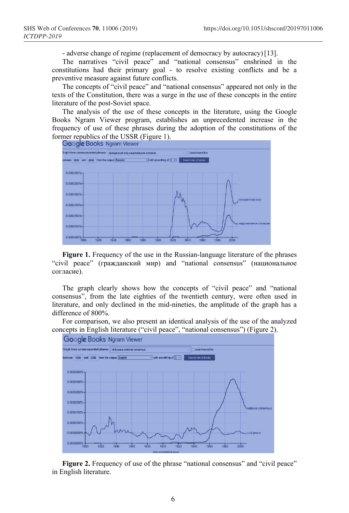- adverse change of regime (replacement of democracy by autocracy)[13].

The narratives "civil peace" and "national consensus" enshrined in the constitutions had their primary goal - to resolve existing conflicts and be a preventive measure against future conflicts.

The concepts of "civil peace" and "national consensus" appeared not only in the texts of the Constitution, there was a surge in the use of these concepts in the entire literature of the post-Soviet space.

The analysis of the use of these concepts in the literature, using the Google Books Ngram Viewer program, establishes an unprecedented increase in the frequency of use of these phrases during the adoption of the constitutions of the former republics of the USSR (Figure 1).<br>Google Books Ngram Viewer



**Figure 1.** Frequency of the use in the Russian-language literature of the phrases "civil peace" (гражданский мир) and "national consensus" (национальное согласие).

The graph clearly shows how the concepts of "civil peace" and "national consensus", from the late eighties of the twentieth century, were often used in literature, and only declined in the mid-nineties, the amplitude of the graph has a difference of 800%.

For comparison, we also present an identical analysis of the use of the analyzed concepts in English literature ("civil peace", "national consensus") (Figure 2).



**Figure 2.** Frequency of use of the phrase "national consensus" and "civil peace" in English literature.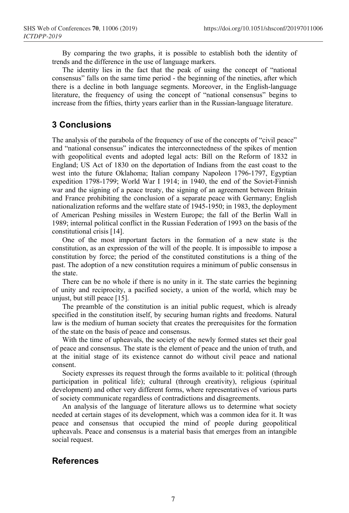By comparing the two graphs, it is possible to establish both the identity of trends and the difference in the use of language markers.

The identity lies in the fact that the peak of using the concept of "national consensus" falls on the same time period - the beginning of the nineties, after which there is a decline in both language segments. Moreover, in the English-language literature, the frequency of using the concept of "national consensus" begins to increase from the fifties, thirty years earlier than in the Russian-language literature.

#### **3 Conclusions**

The analysis of the parabola of the frequency of use of the concepts of "civil peace" and "national consensus" indicates the interconnectedness of the spikes of mention with geopolitical events and adopted legal acts: Bill on the Reform of 1832 in England; US Act of 1830 on the deportation of Indians from the east coast to the west into the future Oklahoma; Italian company Napoleon 1796-1797, Egyptian expedition 1798-1799; World War I 1914; in 1940, the end of the Soviet-Finnish war and the signing of a peace treaty, the signing of an agreement between Britain and France prohibiting the conclusion of a separate peace with Germany; English nationalization reforms and the welfare state of 1945-1950; in 1983, the deployment of American Peshing missiles in Western Europe; the fall of the Berlin Wall in 1989; internal political conflict in the Russian Federation of 1993 on the basis of the constitutional crisis [14].

One of the most important factors in the formation of a new state is the constitution, as an expression of the will of the people. It is impossible to impose a constitution by force; the period of the constituted constitutions is a thing of the past. The adoption of a new constitution requires a minimum of public consensus in the state.

There can be no whole if there is no unity in it. The state carries the beginning of unity and reciprocity, a pacified society, a union of the world, which may be unjust, but still peace [15].

The preamble of the constitution is an initial public request, which is already specified in the constitution itself, by securing human rights and freedoms. Natural law is the medium of human society that creates the prerequisites for the formation of the state on the basis of peace and consensus.

With the time of upheavals, the society of the newly formed states set their goal of peace and consensus. The state is the element of peace and the union of truth, and at the initial stage of its existence cannot do without civil peace and national consent.

Society expresses its request through the forms available to it: political (through participation in political life); cultural (through creativity), religious (spiritual development) and other very different forms, where representatives of various parts of society communicate regardless of contradictions and disagreements.

An analysis of the language of literature allows us to determine what society needed at certain stages of its development, which was a common idea for it. It was peace and consensus that occupied the mind of people during geopolitical upheavals. Peace and consensus is a material basis that emerges from an intangible social request.

#### **References**